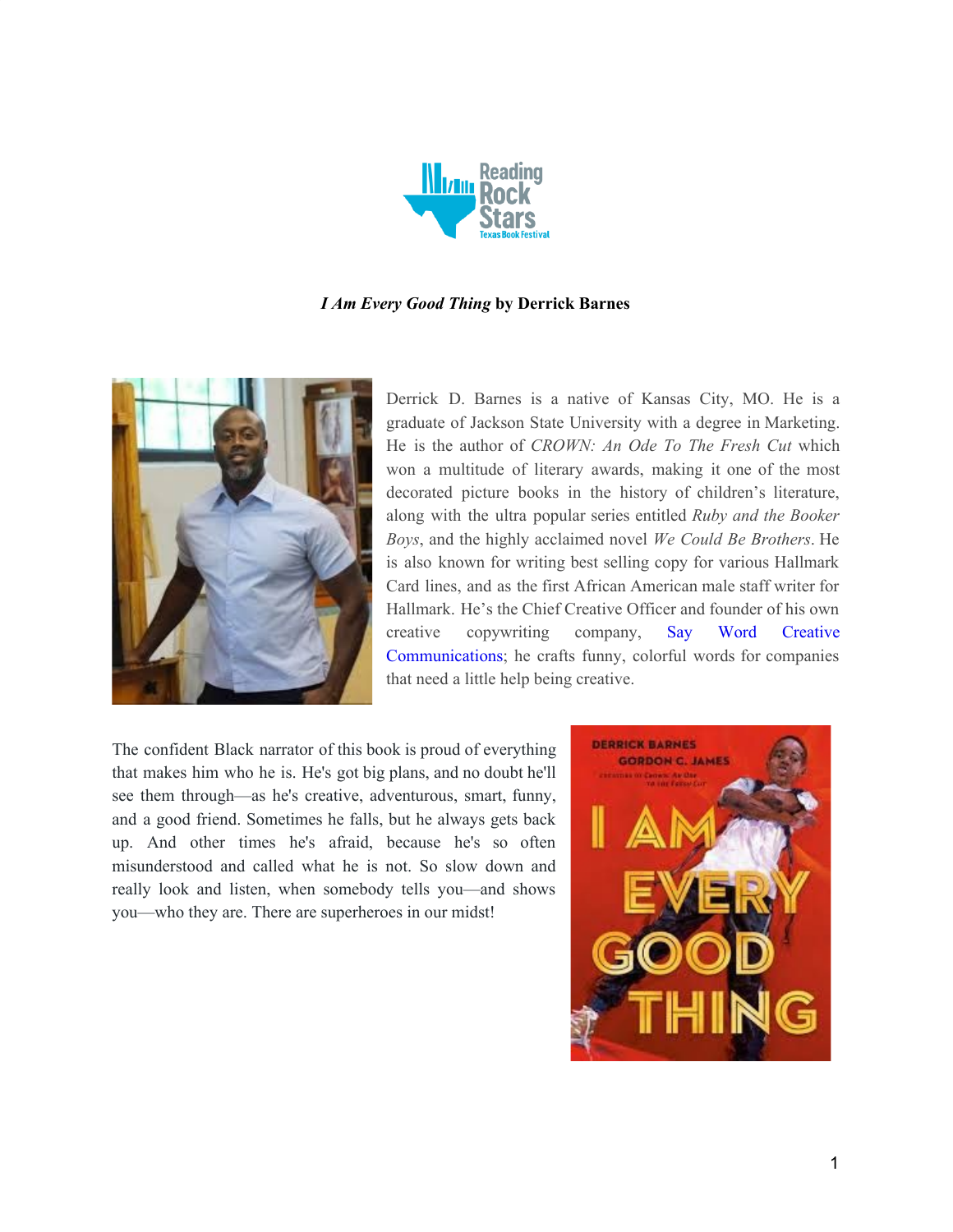

## *I Am Every Good Thing* **by Derrick Barnes**



Derrick D. Barnes is a native of Kansas City, MO. He is a graduate of Jackson State University with a degree in Marketing. He is the author of *CROWN: An Ode To The Fresh Cut* which won a multitude of literary awards, making it one of the most decorated picture books in the history of children's literature, along with the ultra popular series entitled *Ruby and the Booker Boys*, and the highly acclaimed novel *We Could Be Brothers*. He is also known for writing best selling copy for various Hallmark Card lines, and as the first African American male staff writer for Hallmark. He's the Chief Creative Officer and founder of his own creative copywriting company, Say Word [Creative](https://saywordcc.com/) [Communications](https://saywordcc.com/); he crafts funny, colorful words for companies that need a little help being creative.

The confident Black narrator of this book is proud of everything that makes him who he is. He's got big plans, and no doubt he'll see them through—as he's creative, adventurous, smart, funny, and a good friend. Sometimes he falls, but he always gets back up. And other times he's afraid, because he's so often misunderstood and called what he is not. So slow down and really look and listen, when somebody tells you—and shows you—who they are. There are superheroes in our midst!

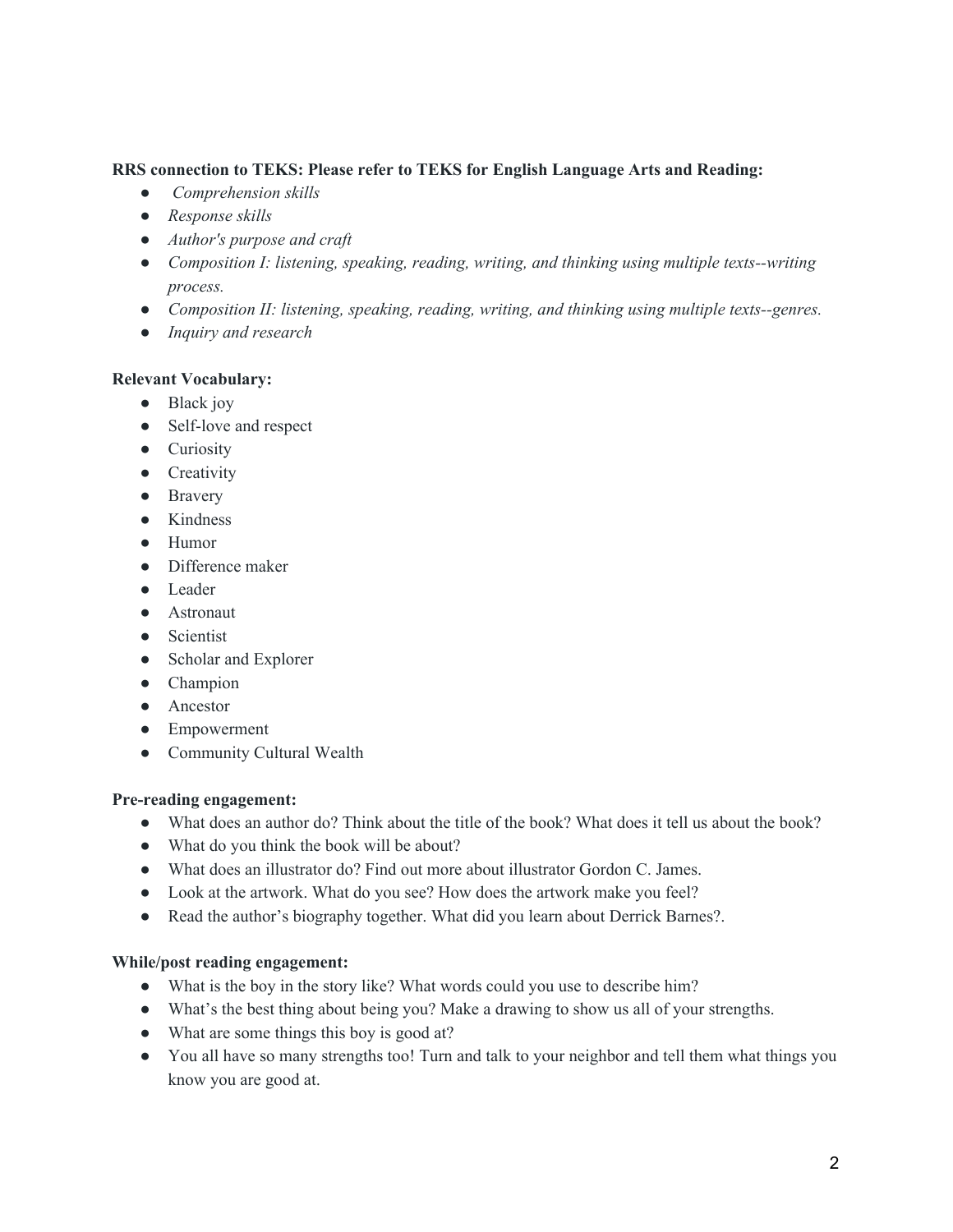## **RRS connection to TEKS: Please refer to TEKS for English Language Arts and Reading:**

- *● Comprehension skills*
- *● Response skills*
- *● Author's purpose and craft*
- *● Composition I: listening, speaking, reading, writing, and thinking using multiple texts--writing process.*
- *● Composition II: listening, speaking, reading, writing, and thinking using multiple texts--genres.*
- *● Inquiry and research*

# **Relevant Vocabulary:**

- Black joy
- Self-love and respect
- Curiosity
- Creativity
- Bravery
- Kindness
- Humor
- Difference maker
- Leader
- Astronaut
- Scientist
- Scholar and Explorer
- Champion
- Ancestor
- Empowerment
- Community Cultural Wealth

#### **Pre-reading engagement:**

- What does an author do? Think about the title of the book? What does it tell us about the book?
- What do you think the book will be about?
- What does an illustrator do? Find out more about illustrator Gordon C. James.
- Look at the artwork. What do you see? How does the artwork make you feel?
- Read the author's biography together. What did you learn about Derrick Barnes?.

# **While/post reading engagement:**

- What is the boy in the story like? What words could you use to describe him?
- What's the best thing about being you? Make a drawing to show us all of your strengths.
- What are some things this boy is good at?
- You all have so many strengths too! Turn and talk to your neighbor and tell them what things you know you are good at.